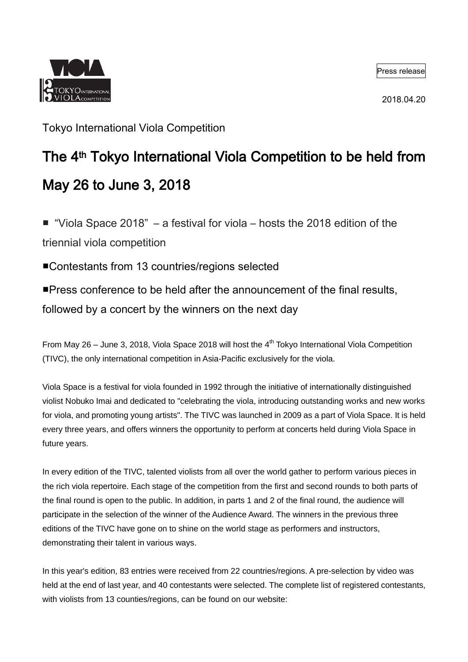

Press release

2018.04.20

Tokyo International Viola Competition

# The 4<sup>th</sup> Tokyo International Viola Competition to be held from May 26 to June 3, 2018

■ "Viola Space 2018" – a festival for viola – hosts the 2018 edition of the triennial viola competition

■Contestants from 13 countries/regions selected

■Press conference to be held after the announcement of the final results,

followed by a concert by the winners on the next day

From May 26 – June 3, 2018, Viola Space 2018 will host the  $4<sup>th</sup>$  Tokyo International Viola Competition (TIVC), the only international competition in Asia-Pacific exclusively for the viola.

Viola Space is a festival for viola founded in 1992 through the initiative of internationally distinguished violist Nobuko Imai and dedicated to "celebrating the viola, introducing outstanding works and new works for viola, and promoting young artists". The TIVC was launched in 2009 as a part of Viola Space. It is held every three years, and offers winners the opportunity to perform at concerts held during Viola Space in future years.

In every edition of the TIVC, talented violists from all over the world gather to perform various pieces in the rich viola repertoire. Each stage of the competition from the first and second rounds to both parts of the final round is open to the public. In addition, in parts 1 and 2 of the final round, the audience will participate in the selection of the winner of the Audience Award. The winners in the previous three editions of the TIVC have gone on to shine on the world stage as performers and instructors, demonstrating their talent in various ways.

In this year's edition, 83 entries were received from 22 countries/regions. A pre-selection by video was held at the end of last year, and 40 contestants were selected. The complete list of registered contestants, with violists from 13 counties/regions, can be found on our website: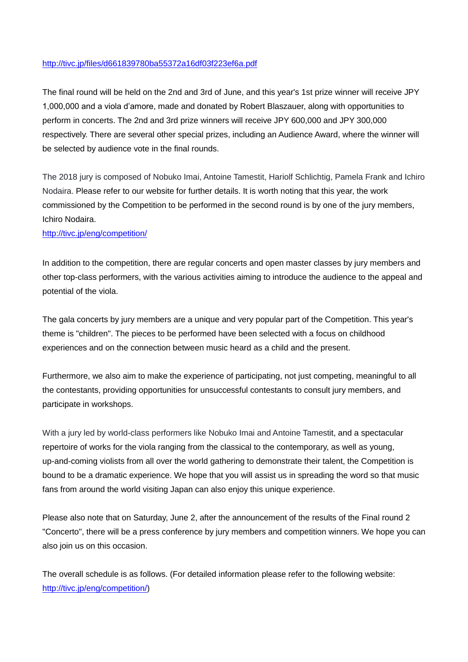#### <http://tivc.jp/files/d661839780ba55372a16df03f223ef6a.pdf>

The final round will be held on the 2nd and 3rd of June, and this year's 1st prize winner will receive JPY 1,000,000 and a viola d'amore, made and donated by Robert Blaszauer, along with opportunities to perform in concerts. The 2nd and 3rd prize winners will receive JPY 600,000 and JPY 300,000 respectively. There are several other special prizes, including an Audience Award, where the winner will be selected by audience vote in the final rounds.

The 2018 jury is composed of Nobuko Imai, Antoine Tamestit, Hariolf Schlichtig, Pamela Frank and Ichiro Nodaira. Please refer to our website for further details. It is worth noting that this year, the work commissioned by the Competition to be performed in the second round is by one of the jury members, Ichiro Nodaira.

#### <http://tivc.jp/eng/competition/>

In addition to the competition, there are regular concerts and open master classes by jury members and other top-class performers, with the various activities aiming to introduce the audience to the appeal and potential of the viola.

The gala concerts by jury members are a unique and very popular part of the Competition. This year's theme is "children". The pieces to be performed have been selected with a focus on childhood experiences and on the connection between music heard as a child and the present.

Furthermore, we also aim to make the experience of participating, not just competing, meaningful to all the contestants, providing opportunities for unsuccessful contestants to consult jury members, and participate in workshops.

With a jury led by world-class performers like Nobuko Imai and Antoine Tamestit, and a spectacular repertoire of works for the viola ranging from the classical to the contemporary, as well as young, up-and-coming violists from all over the world gathering to demonstrate their talent, the Competition is bound to be a dramatic experience. We hope that you will assist us in spreading the word so that music fans from around the world visiting Japan can also enjoy this unique experience.

Please also note that on Saturday, June 2, after the announcement of the results of the Final round 2 "Concerto", there will be a press conference by jury members and competition winners. We hope you can also join us on this occasion.

The overall schedule is as follows. (For detailed information please refer to the following website: [http://tivc.jp/eng/competition/\)](http://tivc.jp/eng/competition/)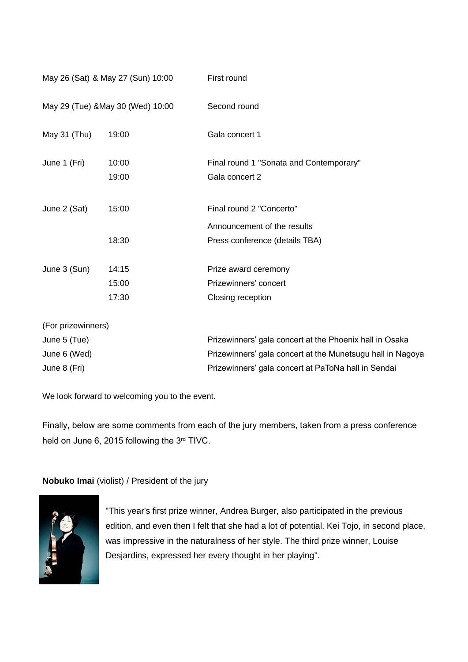| May 26 (Sat) & May 27 (Sun) 10:00<br>May 29 (Tue) & May 30 (Wed) 10:00 |       | First round<br>Second round                                |
|------------------------------------------------------------------------|-------|------------------------------------------------------------|
|                                                                        |       |                                                            |
| June 1 (Fri)                                                           | 10:00 | Final round 1 "Sonata and Contemporary"                    |
|                                                                        | 19:00 | Gala concert 2                                             |
| June 2 (Sat)                                                           | 15:00 | Final round 2 "Concerto"                                   |
|                                                                        |       | Announcement of the results                                |
|                                                                        | 18:30 | Press conference (details TBA)                             |
| June 3 (Sun)                                                           | 14:15 | Prize award ceremony                                       |
|                                                                        | 15:00 | Prizewinners' concert                                      |
|                                                                        | 17:30 | Closing reception                                          |
| (For prizewinners)                                                     |       |                                                            |
| June 5 (Tue)                                                           |       | Prizewinners' gala concert at the Phoenix hall in Osaka    |
| June 6 (Wed)                                                           |       | Prizewinners' gala concert at the Munetsugu hall in Nagoya |
| June 8 (Fri)                                                           |       | Prizewinners' gala concert at PaToNa hall in Sendai        |

We look forward to welcoming you to the event.

Finally, below are some comments from each of the jury members, taken from a press conference held on June 6, 2015 following the 3rd TIVC.

**Nobuko Imai** (violist) / President of the jury



"This year's first prize winner, Andrea Burger, also participated in the previous edition, and even then I felt that she had a lot of potential. Kei Tojo, in second place, was impressive in the naturalness of her style. The third prize winner, Louise Desjardins, expressed her every thought in her playing".